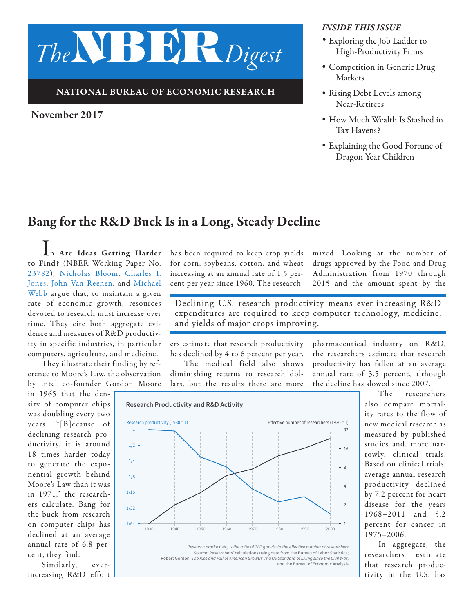# *The*NBER*Digest*

#### NATIONAL BUREAU OF ECONOMIC RESEARCH

#### November 2017

#### *INSIDE THIS ISSUE*

- *•* Exploring the Job Ladder to High-Productivity Firms
- *•* Competition in Generic Drug Markets
- *•* Rising Debt Levels among Near-Retirees
- *•* How Much Wealth Is Stashed in Tax Havens?
- *•* Explaining the Good Fortune of Dragon Year Children

# Bang for the R&D Buck Is in a Long, Steady Decline

In Are Ideas Getting Harder to Find? (NBER Working Paper No. [23782](http://www.nber.org/papers/w23782)), [Nicholas Bloom,](http://www.nber.org/people/nick_bloom) [Charles I.](http://www.nber.org/people/charles_jones) [Jones,](http://www.nber.org/people/charles_jones) [John Van Reenen,](http://www.nber.org/people/john_vanreenen) and [Michael](http://www.nber.org/people/michael_webb)  [Webb](http://www.nber.org/people/michael_webb) argue that, to maintain a given rate of economic growth, resources devoted to research must increase over time. They cite both aggregate evidence and measures of R&D productivity in specific industries, in particular computers, agriculture, and medicine.

They illustrate their finding by reference to Moore's Law, the observation by Intel co-founder Gordon Moore

in 1965 that the density of computer chips was doubling every two years. "[B]ecause of declining research productivity, it is around 18 times harder today to generate the exponential growth behind Moore's Law than it was in 1971," the researchers calculate. Bang for the buck from research on computer chips has declined at an average annual rate of 6.8 percent, they find.

Similarly, everincreasing R&D effort has been required to keep crop yields for corn, soybeans, cotton, and wheat increasing at an annual rate of 1.5 percent per year since 1960. The researchmixed. Looking at the number of drugs approved by the Food and Drug Administration from 1970 through 2015 and the amount spent by the

Declining U.S. research productivity means ever-increasing R&D expenditures are required to keep computer technology, medicine, and yields of major crops improving.

ers estimate that research productivity has declined by 4 to 6 percent per year.

The medical field also shows diminishing returns to research dollars, but the results there are more pharmaceutical industry on R&D, the researchers estimate that research productivity has fallen at an average annual rate of 3.5 percent, although the decline has slowed since 2007.





The researchers also compare mortality rates to the flow of new medical research as measured by published studies and, more narrowly, clinical trials. Based on clinical trials, average annual research productivity declined by 7.2 percent for heart disease for the years 1968–2011 and 5.2 percent for cancer in 1975–2006.

In aggregate, the researchers estimate that research productivity in the U.S. has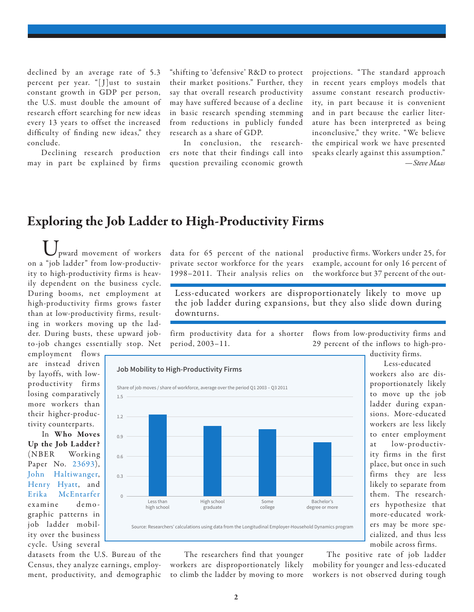declined by an average rate of 5.3 percent per year. "[J]ust to sustain constant growth in GDP per person, the U.S. must double the amount of research effort searching for new ideas every 13 years to offset the increased difficulty of finding new ideas," they conclude.

Declining research production may in part be explained by firms "shifting to 'defensive' R&D to protect their market positions." Further, they say that overall research productivity may have suffered because of a decline in basic research spending stemming from reductions in publicly funded research as a share of GDP.

In conclusion, the researchers note that their findings call into question prevailing economic growth projections. "The standard approach in recent years employs models that assume constant research productivity, in part because it is convenient and in part because the earlier literature has been interpreted as being inconclusive," they write. "We believe the empirical work we have presented speaks clearly against this assumption." *—Steve Maas* 

## Exploring the Job Ladder to High-Productivity Firms

**Job Mobility to High-Productivity Firms**

Less than high school

0

0.3

0.6

0.9

1.2

1.5

Share of job moves / share of workforce, average over the period Q1 2003 – Q3 2011

High school graduate

Upward movement of workers on a "job ladder" from low-productivity to high-productivity firms is heavily dependent on the business cycle. During booms, net employment at high-productivity firms grows faster than at low-productivity firms, resulting in workers moving up the ladder. During busts, these upward jobto-job changes essentially stop. Net

employment flows are instead driven by layoffs, with lowproductivity firms losing comparatively more workers than their higher-productivity counterparts.

In Who Moves Up the Job Ladder ? (NBER Working Paper No. [23693\)](http://www.nber.org/papers/w23693), [John Haltiwanger,](http://www.nber.org/people/john_haltiwanger) [Henry Hyatt,](http://www.nber.org/people/henry_hyatt) and [Erika McEntarfer](http://www.nber.org/people/erika_mcentarfer) examine demo graphic patterns in job ladder mobility over the business cycle. Using several

datasets from the U.S. Bureau of the Census, they analyze earnings, employment, productivity, and demographic data for 65 percent of the national private sector workforce for the years 1998–2011. Their analysis relies on productive firms. Workers under 25, for example, account for only 16 percent of the workforce but 37 percent of the out-

Less-educated workers are disproportionately likely to move up the job ladder during expansions, but they also slide down during downturns.

firm productivity data for a shorter period, 2003–11. flows from low-productivity firms and 29 percent of the inflows to high-pro-

> Bachelor's degree or more

ductivity firms.

Less-educated workers also are disproportionately likely to move up the job ladder during expansions. More-educated workers are less likely to enter employment at low-productivity firms in the first place, but once in such firms they are less likely to separate from them. The researchers hypothesize that more-educated workers may be more specialized, and thus less mobile across firms.

The researchers find that younger workers are disproportionately likely to climb the ladder by moving to more

Source: Researchers' calculations using data from the Longitudinal Employer-Household Dynamics program

Some college

> The positive rate of job ladder mobility for younger and less-educated workers is not observed during tough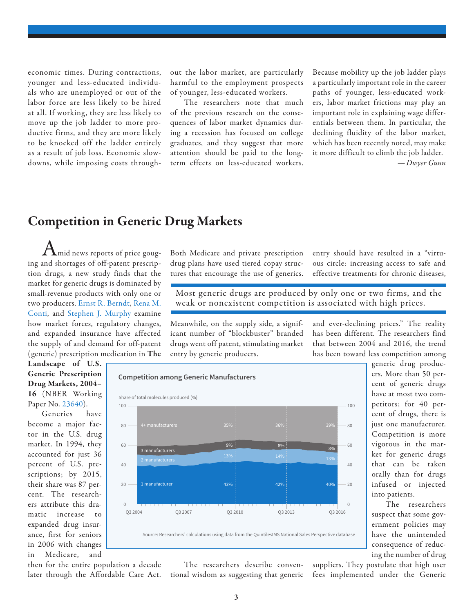economic times. During contractions, younger and less-educated individuals who are unemployed or out of the labor force are less likely to be hired at all. If working, they are less likely to move up the job ladder to more productive firms, and they are more likely to be knocked off the ladder entirely as a result of job loss. Economic slowdowns, while imposing costs through-

out the labor market, are particularly harmful to the employment prospects of younger, less-educated workers.

The researchers note that much of the previous research on the consequences of labor market dynamics during a recession has focused on college graduates, and they suggest that more attention should be paid to the longterm effects on less-educated workers. Because mobility up the job ladder plays a particularly important role in the career paths of younger, less-educated workers, labor market frictions may play an important role in explaining wage differentials between them. In particular, the declining fluidity of the labor market, which has been recently noted, may make it more difficult to climb the job ladder.  *—Dwyer Gunn*

## Competition in Generic Drug Markets

 $\boldsymbol{\Lambda}$ mid news reports of price gouging and shortages of off-patent prescription drugs, a new study finds that the market for generic drugs is dominated by small-revenue products with only one or two producers. [Ernst R. Berndt,](http://www.nber.org/people/ernst_berndt) [Rena M.](http://www.nber.org/people/rena_conti) [Conti](http://www.nber.org/people/rena_conti), and [Stephen J. Murphy](http://www.nber.org/people/stephen_murphy) examine how market forces, regulatory changes, and expanded insurance have affected the supply of and demand for off-patent (generic) prescription medication in The

Both Medicare and private prescription drug plans have used tiered copay structures that encourage the use of generics.

entry should have resulted in a "virtuous circle: increasing access to safe and effective treatments for chronic diseases,

Most generic drugs are produced by only one or two firms, and the weak or nonexistent competition is associated with high prices.

Meanwhile, on the supply side, a significant number of "blockbuster" branded drugs went off patent, stimulating market entry by generic producers.

and ever-declining prices." The reality has been different. The researchers find that between 2004 and 2016, the trend has been toward less competition among

Landscape of U.S. Generic Prescription Drug Markets, 2004– 16 (NBER Working Paper No. [23640](http://www.nber.org/papers/w23640)).

Generics have become a major factor in the U.S. drug market. In 1994, they accounted for just 36 percent of U.S. prescriptions; by 2015, their share was 87 percent. The researchers attribute this dramatic increase to expanded drug insurance, first for seniors in 2006 with changes in Medicare, and



cent of generic drugs have at most two competitors; for 40 percent of drugs, there is just one manufacturer. Competition is more vigorous in the market for generic drugs that can be taken orally than for drugs infused or injected into patients.

generic drug producers. More than 50 per-

The researchers suspect that some government policies may have the unintended consequence of reducing the number of drug

The researchers describe conventional wisdom as suggesting that generic then for the entire population a decade later through the Affordable Care Act.

suppliers. They postulate that high user fees implemented under the Generic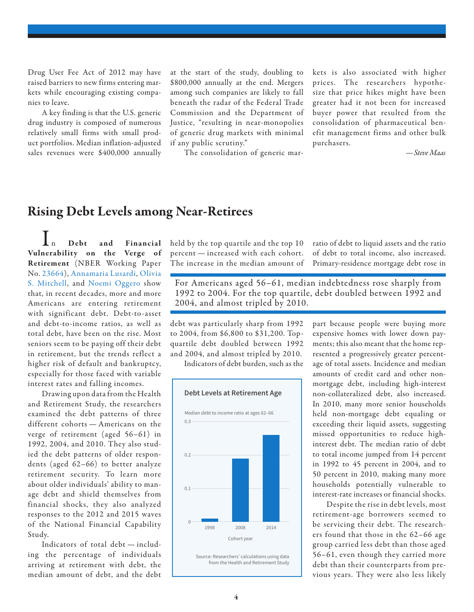Drug User Fee Act of 2012 may have raised barriers to new firms entering markets while encouraging existing companies to leave.

A key finding is that the U.S. generic drug industry is composed of numerous relatively small firms with small product portfolios. Median inflation-adjusted sales revenues were \$400,000 annually

at the start of the study, doubling to \$800,000 annually at the end. Mergers among such companies are likely to fall beneath the radar of the Federal Trade Commission and the Department of Justice, "resulting in near-monopolies of generic drug markets with minimal if any public scrutiny."

The consolidation of generic mar-

kets is also associated with higher prices. The researchers hypothesize that price hikes might have been greater had it not been for increased buyer power that resulted from the consolidation of pharmaceutical benefit management firms and other bulk purchasers.

*—Steve Maas*

### Rising Debt Levels among Near-Retirees

 $\prod_{\rm n\ Debt}$  and Financial Vulnerability on the Verge of Retirement (NBER Working Paper No. [23664\)](http://www.nber.org/papers/w23664), [Annamaria Lusardi,](http://www.nber.org/people/annamaria_lusardi) [Olivia](http://www.nber.org/people/olivia_mitchell)  [S. Mitchell,](http://www.nber.org/people/olivia_mitchell) and [Noemi Oggero](http://www.nber.org/people/noemi_oggero) show that, in recent decades, more and more Americans are entering retirement with significant debt. Debt-to-asset and debt-to-income ratios, as well as total debt, have been on the rise. Most seniors seem to be paying off their debt in retirement, but the trends reflect a higher risk of default and bankruptcy, especially for those faced with variable interest rates and falling incomes.

Drawing upon data from the Health and Retirement Study, the researchers examined the debt patterns of three different cohorts — Americans on the verge of retirement (aged 56–61) in 1992, 2004, and 2010. They also studied the debt patterns of older respondents (aged 62–66) to better analyze retirement security. To learn more about older individuals' ability to manage debt and shield themselves from financial shocks, they also analyzed responses to the 2012 and 2015 waves of the National Financial Capability Study.

Indicators of total debt — including the percentage of individuals arriving at retirement with debt, the median amount of debt, and the debt

held by the top quartile and the top 10 percent — increased with each cohort. The increase in the median amount of ratio of debt to liquid assets and the ratio of debt to total income, also increased. Primary-residence mortgage debt rose in

For Americans aged 56–61, median indebtedness rose sharply from 1992 to 2004. For the top quartile, debt doubled between 1992 and 2004, and almost tripled by 2010.

debt was particularly sharp from 1992 to 2004, from \$6,800 to \$31,200. Topquartile debt doubled between 1992 and 2004, and almost tripled by 2010.

Indicators of debt burden, such as the



part because people were buying more expensive homes with lower down payments; this also meant that the home represented a progressively greater percentage of total assets. Incidence and median amounts of credit card and other nonmortgage debt, including high-interest non-collateralized debt, also increased. In 2010, many more senior households held non-mortgage debt equaling or exceeding their liquid assets, suggesting missed opportunities to reduce highinterest debt. The median ratio of debt to total income jumped from 14 percent in 1992 to 45 percent in 2004, and to 50 percent in 2010, making many more households potentially vulnerable to interest-rate increases or financial shocks.

Despite the rise in debt levels, most retirement-age borrowers seemed to be servicing their debt. The researchers found that those in the 62–66 age group carried less debt than those aged 56–61, even though they carried more debt than their counterparts from previous years. They were also less likely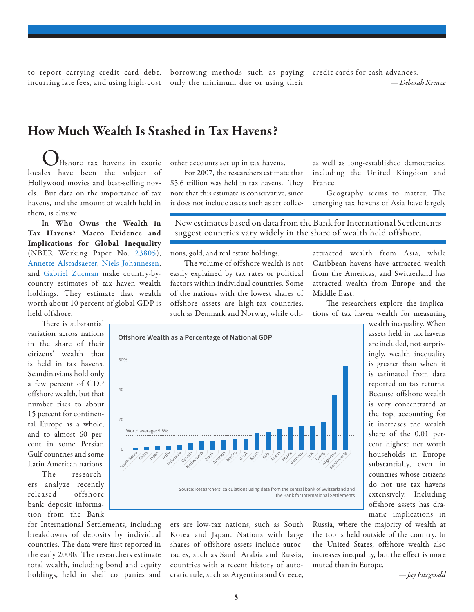to report carrying credit card debt, incurring late fees, and using high-cost

borrowing methods such as paying credit cards for cash advances. only the minimum due or using their

#### How Much Wealth Is Stashed in Tax Havens?

ffshore tax havens in exotic locales have been the subject of Hollywood movies and best-selling novels. But data on the importance of tax havens, and the amount of wealth held in them, is elusive.

In Who Owns the Wealth in Tax Havens? Macro Evidence and Implications for Global Inequality (NBER Working Paper No. [23805\)](http://www.nber.org/papers/w23805), [Annette Alstadsaeter](http://admin.nber.org/people/annette_alstadsaeter), [Niels Johannesen,](http://admin.nber.org/people/niels_johannesen) and [Gabriel Zucman](http://admin.nber.org/people/gabriel_zucman) make country-bycountry estimates of tax haven wealth holdings. They estimate that wealth worth about 10 percent of global GDP is held offshore.

40

 $20$ 

0

There is substantial variation across nations in the share of their citizens' wealth that is held in tax havens. Scandinavians hold only a few percent of GDP offshore wealth, but that number rises to about 15 percent for continental Europe as a whole, and to almost 60 percent in some Persian Gulf countries and some Latin American nations.

The researchers analyze recently released offshore bank deposit information from the Bank

for International Settlements, including breakdowns of deposits by individual countries. The data were first reported in the early 2000s. The researchers estimate total wealth, including bond and equity holdings, held in shell companies and

other accounts set up in tax havens.

For 2007, the researchers estimate that \$5.6 trillion was held in tax havens. They note that this estimate is conservative, since it does not include assets such as art collecas well as long-established democracies, including the United Kingdom and France.

Geography seems to matter. The emerging tax havens of Asia have largely

New estimates based on data from the Bank for International Settlements suggest countries vary widely in the share of wealth held offshore.

tions, gold, and real estate holdings.

The volume of offshore wealth is not easily explained by tax rates or political factors within individual countries. Some of the nations with the lowest shares of offshore assets are high-tax countries, such as Denmark and Norway, while othattracted wealth from Asia, while Caribbean havens have attracted wealth from the Americas, and Switzerland has attracted wealth from Europe and the Middle East.

The researchers explore the implications of tax haven wealth for measuring



ers are low-tax nations, such as South Korea and Japan. Nations with large shares of offshore assets include autocracies, such as Saudi Arabia and Russia, countries with a recent history of autocratic rule, such as Argentina and Greece,

wealth inequality. When assets held in tax havens are included, not surprisingly, wealth inequality is greater than when it is estimated from data reported on tax returns. Because offshore wealth is very concentrated at the top, accounting for it increases the wealth share of the 0.01 percent highest net worth households in Europe substantially, even in countries whose citizens do not use tax havens extensively. Including offshore assets has dramatic implications in

Russia, where the majority of wealth at the top is held outside of the country. In the United States, offshore wealth also increases inequality, but the effect is more muted than in Europe.

*—Jay Fitzgerald*